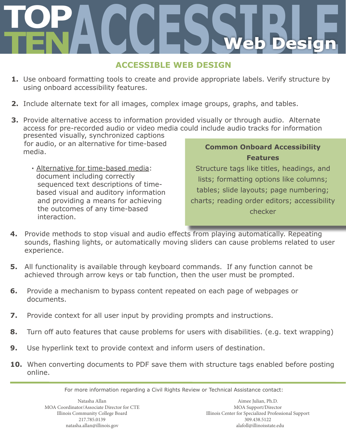# **TOP TENACCESSIBLE Web Design**

# **ACCESSIBLE WEB DESIGN**

- **1.** Use onboard formatting tools to create and provide appropriate labels. Verify structure by using onboard accessibility features.
- **2.** Include alternate text for all images, complex image groups, graphs, and tables.
- **3.** Provide alternative access to information provided visually or through audio. Alternate access for pre-recorded audio or video media could include audio tracks for information **Common Onboard Accessibility**  presented visually, synchronized captions for audio, or an alternative for time-based media.
	- **∙** Alternative for time-based media: document including correctly sequenced text descriptions of time based visual and auditory information and providing a means for achieving the outcomes of any time-based interaction.

# **Features**

Structure tags like titles, headings, and lists; formatting options like columns; tables; slide layouts; page numbering; charts; reading order editors; accessibility checker

- **4.** Provide methods to stop visual and audio effects from playing automatically. Repeating sounds, flashing lights, or automatically moving sliders can cause problems related to user experience.
- **5.** All functionality is available through keyboard commands. If any function cannot be achieved through arrow keys or tab function, then the user must be prompted.
- **6.** Provide a mechanism to bypass content repeated on each page of webpages or documents.
- **7.** Provide context for all user input by providing prompts and instructions.
- **8.** Turn off auto features that cause problems for users with disabilities. (e.g. text wrapping)
- **9.** Use hyperlink text to provide context and inform users of destination.
- **10.** When converting documents to PDF save them with structure tags enabled before posting online.

For more information regarding a Civil Rights Review or Technical Assistance contact: